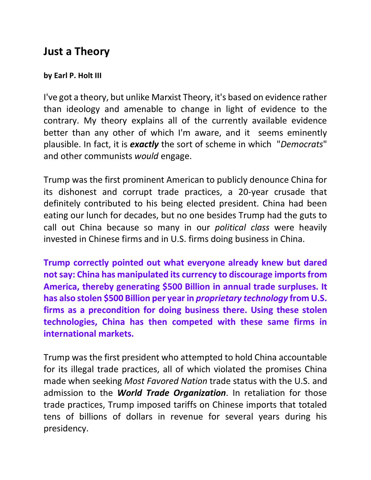## **Just a Theory**

## **by Earl P. Holt III**

I've got a theory, but unlike Marxist Theory, it's based on evidence rather than ideology and amenable to change in light of evidence to the contrary. My theory explains all of the currently available evidence better than any other of which I'm aware, and it seems eminently plausible. In fact, it is *exactly* the sort of scheme in which "*Democrats*" and other communists *would* engage.

Trump was the first prominent American to publicly denounce China for its dishonest and corrupt trade practices, a 20-year crusade that definitely contributed to his being elected president. China had been eating our lunch for decades, but no one besides Trump had the guts to call out China because so many in our *political class* were heavily invested in Chinese firms and in U.S. firms doing business in China.

**Trump correctly pointed out what everyone already knew but dared not say: China has manipulated its currency to discourage imports from America, thereby generating \$500 Billion in annual trade surpluses. It has also stolen \$500 Billion per year in** *proprietary technology* **from U.S. firms as a precondition for doing business there. Using these stolen technologies, China has then competed with these same firms in international markets.**

Trump was the first president who attempted to hold China accountable for its illegal trade practices, all of which violated the promises China made when seeking *Most Favored Nation* trade status with the U.S. and admission to the *World Trade Organization*. In retaliation for those trade practices, Trump imposed tariffs on Chinese imports that totaled tens of billions of dollars in revenue for several years during his presidency.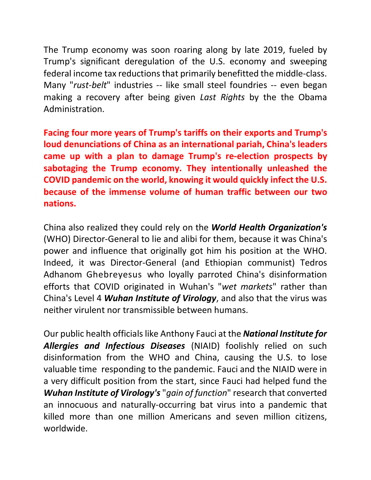The Trump economy was soon roaring along by late 2019, fueled by Trump's significant deregulation of the U.S. economy and sweeping federal income tax reductions that primarily benefitted the middle-class. Many "*rust-belt*" industries -- like small steel foundries -- even began making a recovery after being given *Last Rights* by the the Obama Administration.

**Facing four more years of Trump's tariffs on their exports and Trump's loud denunciations of China as an international pariah, China's leaders came up with a plan to damage Trump's re-election prospects by sabotaging the Trump economy. They intentionally unleashed the COVID pandemic on the world, knowing it would quickly infect the U.S. because of the immense volume of human traffic between our two nations.**

China also realized they could rely on the *World Health Organization's* (WHO) Director-General to lie and alibi for them, because it was China's power and influence that originally got him his position at the WHO. Indeed, it was Director-General (and Ethiopian communist) Tedros Adhanom Ghebreyesus who loyally parroted China's disinformation efforts that COVID originated in Wuhan's "*wet markets*" rather than China's Level 4 *Wuhan Institute of Virology*, and also that the virus was neither virulent nor transmissible between humans.

Our public health officials like Anthony Fauci at the *National Institute for Allergies and Infectious Diseases* (NIAID) foolishly relied on such disinformation from the WHO and China, causing the U.S. to lose valuable time responding to the pandemic. Fauci and the NIAID were in a very difficult position from the start, since Fauci had helped fund the *Wuhan Institute of Virology's* "*gain of function*" research that converted an innocuous and naturally-occurring bat virus into a pandemic that killed more than one million Americans and seven million citizens, worldwide.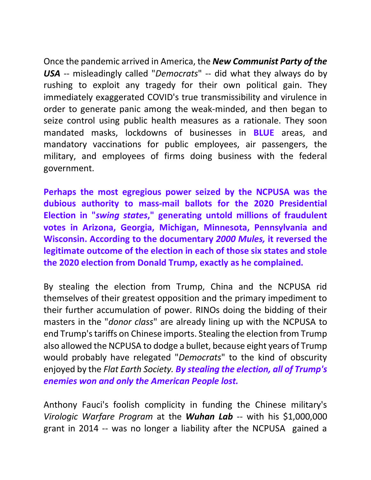Once the pandemic arrived in America, the *New Communist Party of the USA* -- misleadingly called "*Democrats*" -- did what they always do by rushing to exploit any tragedy for their own political gain. They immediately exaggerated COVID's true transmissibility and virulence in order to generate panic among the weak-minded, and then began to seize control using public health measures as a rationale. They soon mandated masks, lockdowns of businesses in **BLUE** areas, and mandatory vaccinations for public employees, air passengers, the military, and employees of firms doing business with the federal government.

**Perhaps the most egregious power seized by the NCPUSA was the dubious authority to mass-mail ballots for the 2020 Presidential Election in "***swing states***," generating untold millions of fraudulent votes in Arizona, Georgia, Michigan, Minnesota, Pennsylvania and Wisconsin. According to the documentary** *2000 Mules,* **it reversed the legitimate outcome of the election in each of those six states and stole the 2020 election from Donald Trump, exactly as he complained.** 

By stealing the election from Trump, China and the NCPUSA rid themselves of their greatest opposition and the primary impediment to their further accumulation of power. RINOs doing the bidding of their masters in the "*donor class*" are already lining up with the NCPUSA to end Trump's tariffs on Chinese imports. Stealing the election from Trump also allowed the NCPUSA to dodge a bullet, because eight years of Trump would probably have relegated "*Democrats*" to the kind of obscurity enjoyed by the *Flat Earth Society. By stealing the election, all of Trump's enemies won and only the American People lost.*

Anthony Fauci's foolish complicity in funding the Chinese military's *Virologic Warfare Program* at the *Wuhan Lab* -- with his \$1,000,000 grant in 2014 -- was no longer a liability after the NCPUSA gained a